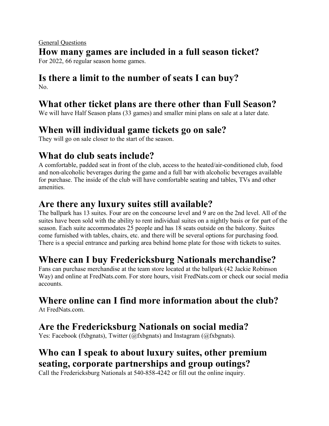#### General Questions **How many games are included in a full season ticket?** For 2022, 66 regular season home games.

#### **Is there a limit to the number of seats I can buy?** No.

## **What other ticket plans are there other than Full Season?**

We will have Half Season plans (33 games) and smaller mini plans on sale at a later date.

# **When will individual game tickets go on sale?**

They will go on sale closer to the start of the season.

## **What do club seats include?**

A comfortable, padded seat in front of the club, access to the heated/air-conditioned club, food and non-alcoholic beverages during the game and a full bar with alcoholic beverages available for purchase. The inside of the club will have comfortable seating and tables, TVs and other amenities.

## **Are there any luxury suites still available?**

The ballpark has 13 suites. Four are on the concourse level and 9 are on the 2nd level. All of the suites have been sold with the ability to rent individual suites on a nightly basis or for part of the season. Each suite accommodates 25 people and has 18 seats outside on the balcony. Suites come furnished with tables, chairs, etc. and there will be several options for purchasing food. There is a special entrance and parking area behind home plate for those with tickets to suites.

# **Where can I buy Fredericksburg Nationals merchandise?**

Fans can purchase merchandise at the team store located at the ballpark (42 Jackie Robinson Way) and online at FredNats.com. For store hours, visit FredNats.com or check our social media accounts.

# **Where online can I find more information about the club?**

At FredNats.com

## **Are the Fredericksburg Nationals on social media?**

Yes: Facebook (fxbgnats), Twitter (@fxbgnats) and Instagram (@fxbgnats).

## **Who can I speak to about luxury suites, other premium seating, corporate partnerships and group outings?**

Call the Fredericksburg Nationals at 540-858-4242 or fill out the online inquiry.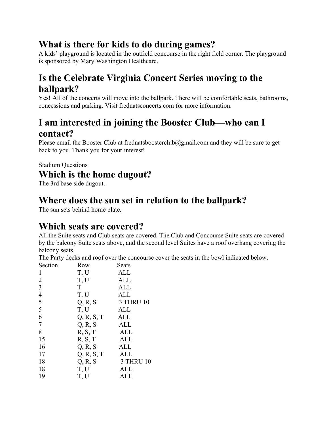## **What is there for kids to do during games?**

A kids' playground is located in the outfield concourse in the right field corner. The playground is sponsored by Mary Washington Healthcare.

# **Is the Celebrate Virginia Concert Series moving to the ballpark?**

Yes! All of the concerts will move into the ballpark. There will be comfortable seats, bathrooms, concessions and parking. Visit frednatsconcerts.com for more information.

#### **I am interested in joining the Booster Club—who can I contact?**

Please email the Booster Club at frednatsboosterclub@gmail.com and they will be sure to get back to you. Thank you for your interest!

#### **Stadium Questions Which is the home dugout?**

The 3rd base side dugout.

#### **Where does the sun set in relation to the ballpark?**

The sun sets behind home plate.

#### **Which seats are covered?**

All the Suite seats and Club seats are covered. The Club and Concourse Suite seats are covered by the balcony Suite seats above, and the second level Suites have a roof overhang covering the balcony seats.

The Party decks and roof over the concourse cover the seats in the bowl indicated below.

| Section        | <u>Row</u> | <u>Seats</u>     |
|----------------|------------|------------------|
| 1              | T, U       | <b>ALL</b>       |
| $\overline{2}$ | T, U       | <b>ALL</b>       |
| 3              | T          | ALL              |
| $\overline{4}$ | T, U       | <b>ALL</b>       |
| 5              | Q, R, S    | <b>3 THRU 10</b> |
| 5              | T, U       | <b>ALL</b>       |
| 6              | Q, R, S, T | ALL              |
| 7              | Q, R, S    | ALL              |
| 8              | R, S, T    | ALL              |
| 15             | R, S, T    | ALL              |
| 16             | Q, R, S    | ALL              |
| 17             | Q, R, S, T | <b>ALL</b>       |
| 18             | Q, R, S    | <b>3 THRU 10</b> |
| 18             | T, U       | ALL              |
| 19             | T, U       | ALL              |